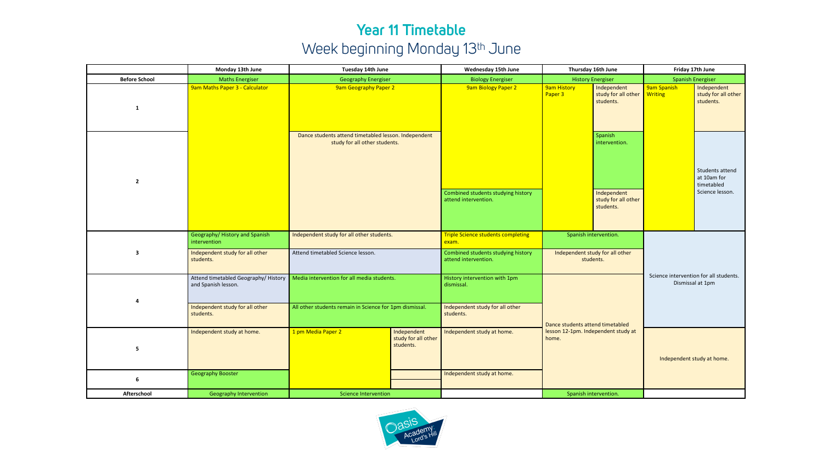## **Year 11 Timetable** Week beginning Monday 13<sup>th</sup> June

|                         | Monday 13th June                                            | Tuesday 14th June                                                                     | Wednesday 15th June                             |                                                            | Thursday 16th June                           |                                                                             | Friday 17th June                                           |                                                                 |
|-------------------------|-------------------------------------------------------------|---------------------------------------------------------------------------------------|-------------------------------------------------|------------------------------------------------------------|----------------------------------------------|-----------------------------------------------------------------------------|------------------------------------------------------------|-----------------------------------------------------------------|
| <b>Before School</b>    | <b>Maths Energiser</b>                                      | <b>Geography Energiser</b>                                                            |                                                 | <b>Biology Energiser</b>                                   | <b>History Energiser</b>                     |                                                                             | <b>Spanish Energiser</b>                                   |                                                                 |
| 1                       | 9am Maths Paper 3 - Calculator                              | <b>9am Geography Paper 2</b>                                                          |                                                 | <b>9am Biology Paper 2</b>                                 | <b>9am History</b><br>Paper 3                | Independent<br>study for all other<br>students.                             | 9am Spanish<br><b>Writing</b>                              | Independent<br>study for all other<br>students.                 |
| $\overline{2}$          |                                                             | Dance students attend timetabled lesson. Independent<br>study for all other students. |                                                 | Combined students studying history<br>attend intervention. |                                              | Spanish<br>intervention.<br>Independent<br>study for all other<br>students. |                                                            | Students attend<br>at 10am for<br>timetabled<br>Science lesson. |
| 3                       | Geography/History and Spanish<br>intervention               | Independent study for all other students.                                             |                                                 | <b>Triple Science students completing</b><br>exam.         | Spanish intervention.                        |                                                                             |                                                            |                                                                 |
|                         | Independent study for all other<br>students.                | Attend timetabled Science lesson.                                                     |                                                 | Combined students studying history<br>attend intervention. | Independent study for all other<br>students. |                                                                             | Science intervention for all students.<br>Dismissal at 1pm |                                                                 |
| $\overline{\mathbf{a}}$ | Attend timetabled Geography/ History<br>and Spanish lesson. | Media intervention for all media students.                                            |                                                 | History intervention with 1pm<br>dismissal.                | Dance students attend timetabled             |                                                                             |                                                            |                                                                 |
|                         | Independent study for all other<br>students.                | All other students remain in Science for 1pm dismissal.                               |                                                 | Independent study for all other<br>students.               |                                              |                                                                             |                                                            |                                                                 |
| 5                       | Independent study at home.                                  | 1 pm Media Paper 2                                                                    | Independent<br>study for all other<br>students. | Independent study at home.                                 | lesson 12-1pm. Independent study at<br>home. |                                                                             | Independent study at home.                                 |                                                                 |
| 6                       | <b>Geography Booster</b>                                    |                                                                                       |                                                 | Independent study at home.                                 |                                              |                                                                             |                                                            |                                                                 |
| Afterschool             | <b>Geography Intervention</b>                               | <b>Science Intervention</b>                                                           |                                                 |                                                            |                                              | Spanish intervention.                                                       |                                                            |                                                                 |